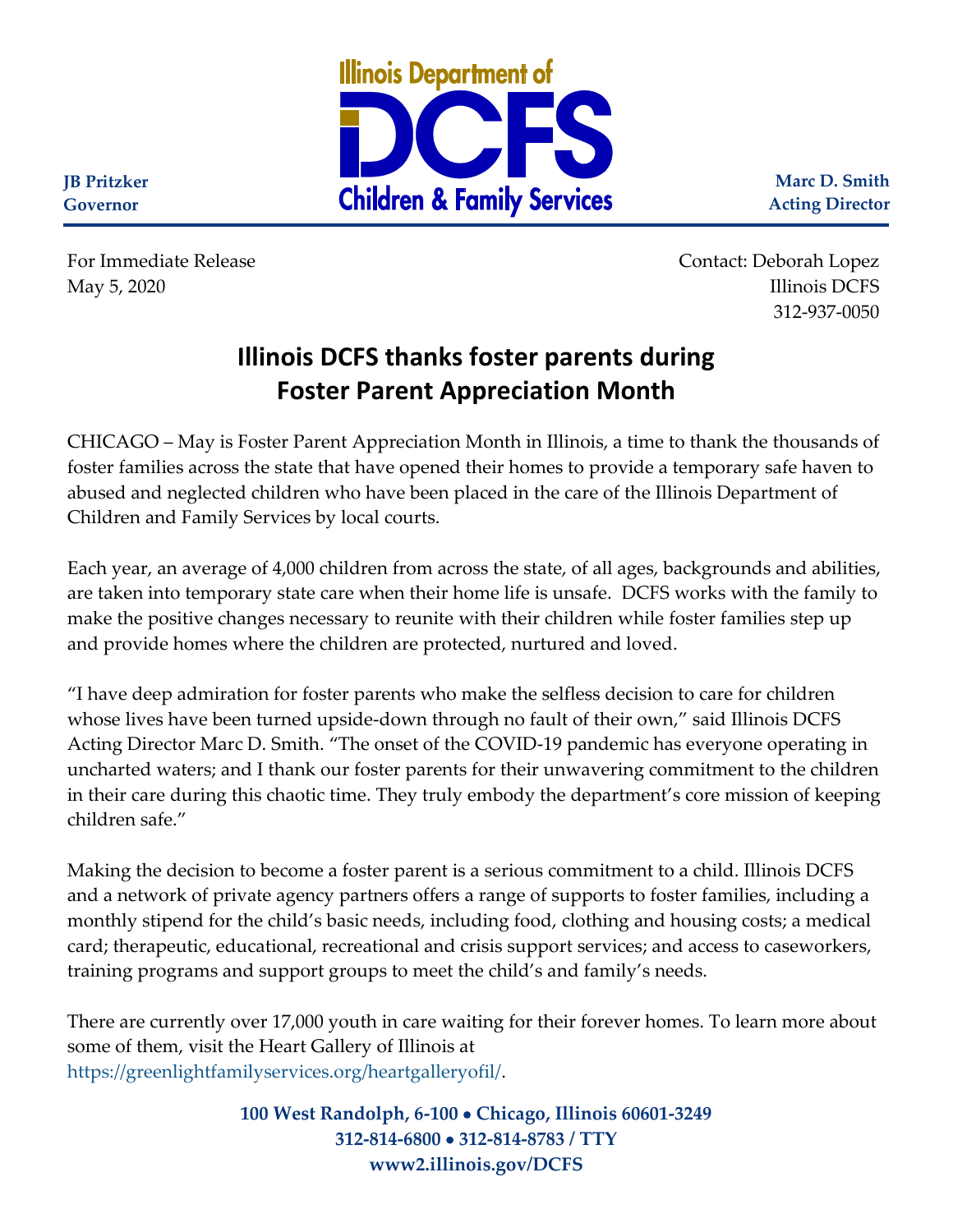

**Marc D. Smith Acting Director**

**JB Pritzker Governor**

For Immediate Release Contact: Deborah Lopez May 5, 2020 Illinois DCFS 312-937-0050

## **Illinois DCFS thanks foster parents during Foster Parent Appreciation Month**

CHICAGO – May is Foster Parent Appreciation Month in Illinois, a time to thank the thousands of foster families across the state that have opened their homes to provide a temporary safe haven to abused and neglected children who have been placed in the care of the Illinois Department of Children and Family Services by local courts.

Each year, an average of 4,000 children from across the state, of all ages, backgrounds and abilities, are taken into temporary state care when their home life is unsafe. DCFS works with the family to make the positive changes necessary to reunite with their children while foster families step up and provide homes where the children are protected, nurtured and loved.

"I have deep admiration for foster parents who make the selfless decision to care for children whose lives have been turned upside-down through no fault of their own," said Illinois DCFS Acting Director Marc D. Smith. "The onset of the COVID-19 pandemic has everyone operating in uncharted waters; and I thank our foster parents for their unwavering commitment to the children in their care during this chaotic time. They truly embody the department's core mission of keeping children safe."

Making the decision to become a foster parent is a serious commitment to a child. Illinois DCFS and a network of private agency partners offers a range of supports to foster families, including a monthly stipend for the child's basic needs, including food, clothing and housing costs; a medical card; therapeutic, educational, recreational and crisis support services; and access to caseworkers, training programs and support groups to meet the child's and family's needs.

There are currently over 17,000 youth in care waiting for their forever homes. To learn more about some of them, visit the Heart Gallery of Illinois at [https://greenlightfamilyservices.org/heartgalleryofil/.](https://greenlightfamilyservices.org/heartgalleryofil/)

> **100 West Randolph, 6-100** • **Chicago, Illinois 60601-3249 312-814-6800** • **312-814-8783 / TTY www2.illinois.gov/DCFS**